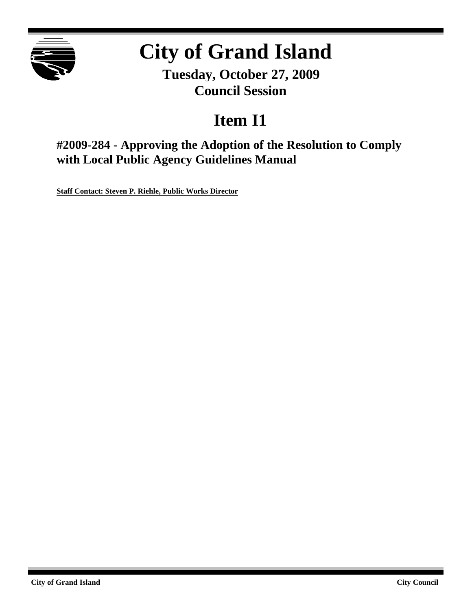

# **City of Grand Island**

**Tuesday, October 27, 2009 Council Session**

## **Item I1**

**#2009-284 - Approving the Adoption of the Resolution to Comply with Local Public Agency Guidelines Manual**

**Staff Contact: Steven P. Riehle, Public Works Director**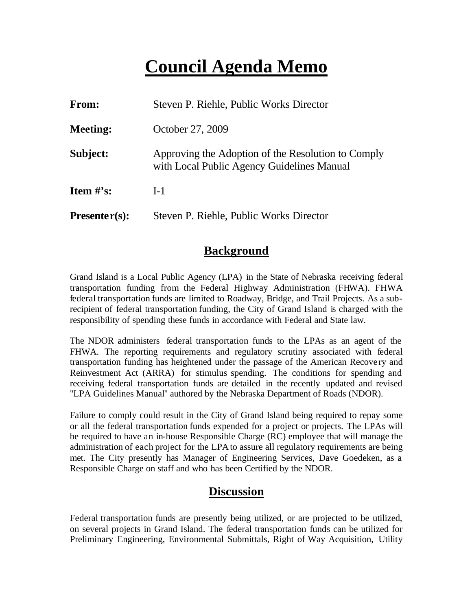## **Council Agenda Memo**

| <b>From:</b>                   | Steven P. Riehle, Public Works Director                                                          |
|--------------------------------|--------------------------------------------------------------------------------------------------|
| <b>Meeting:</b>                | October 27, 2009                                                                                 |
| Subject:                       | Approving the Adoption of the Resolution to Comply<br>with Local Public Agency Guidelines Manual |
| <b>Item <math>\#</math>'s:</b> | $I-1$                                                                                            |
| $Presenter(s):$                | Steven P. Riehle, Public Works Director                                                          |

### **Background**

Grand Island is a Local Public Agency (LPA) in the State of Nebraska receiving federal transportation funding from the Federal Highway Administration (FHWA). FHWA federal transportation funds are limited to Roadway, Bridge, and Trail Projects. As a subrecipient of federal transportation funding, the City of Grand Island is charged with the responsibility of spending these funds in accordance with Federal and State law.

The NDOR administers federal transportation funds to the LPAs as an agent of the FHWA. The reporting requirements and regulatory scrutiny associated with federal transportation funding has heightened under the passage of the American Recove ry and Reinvestment Act (ARRA) for stimulus spending. The conditions for spending and receiving federal transportation funds are detailed in the recently updated and revised "LPA Guidelines Manual" authored by the Nebraska Department of Roads (NDOR).

Failure to comply could result in the City of Grand Island being required to repay some or all the federal transportation funds expended for a project or projects. The LPAs will be required to have an in-house Responsible Charge (RC) employee that will manage the administration of each project for the LPA to assure all regulatory requirements are being met. The City presently has Manager of Engineering Services, Dave Goedeken, as a Responsible Charge on staff and who has been Certified by the NDOR.

## **Discussion**

Federal transportation funds are presently being utilized, or are projected to be utilized, on several projects in Grand Island. The federal transportation funds can be utilized for Preliminary Engineering, Environmental Submittals, Right of Way Acquisition, Utility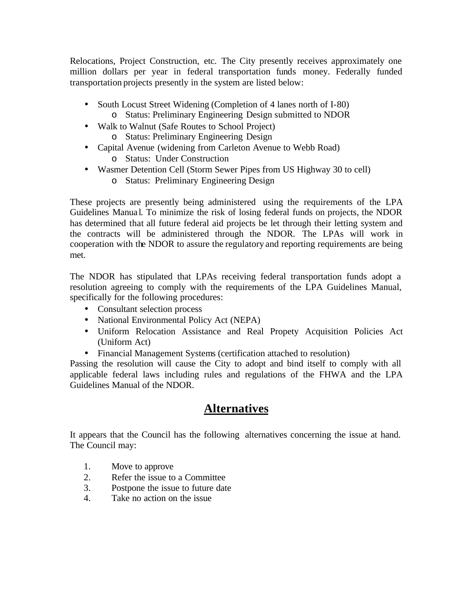Relocations, Project Construction, etc. The City presently receives approximately one million dollars per year in federal transportation funds money. Federally funded transportation projects presently in the system are listed below:

- South Locust Street Widening (Completion of 4 lanes north of I-80) o Status: Preliminary Engineering Design submitted to NDOR
- Walk to Walnut (Safe Routes to School Project) o Status: Preliminary Engineering Design
- Capital Avenue (widening from Carleton Avenue to Webb Road)
	- o Status: Under Construction
- Wasmer Detention Cell (Storm Sewer Pipes from US Highway 30 to cell)
	- o Status: Preliminary Engineering Design

These projects are presently being administered using the requirements of the LPA Guidelines Manua l. To minimize the risk of losing federal funds on projects, the NDOR has determined that all future federal aid projects be let through their letting system and the contracts will be administered through the NDOR. The LPAs will work in cooperation with the NDOR to assure the regulatory and reporting requirements are being met.

The NDOR has stipulated that LPAs receiving federal transportation funds adopt a resolution agreeing to comply with the requirements of the LPA Guidelines Manual, specifically for the following procedures:

- Consultant selection process
- National Environmental Policy Act (NEPA)
- Uniform Relocation Assistance and Real Propety Acquisition Policies Act (Uniform Act)
- Financial Management Systems (certification attached to resolution)

Passing the resolution will cause the City to adopt and bind itself to comply with all applicable federal laws including rules and regulations of the FHWA and the LPA Guidelines Manual of the NDOR.

## **Alternatives**

It appears that the Council has the following alternatives concerning the issue at hand. The Council may:

- 1. Move to approve
- 2. Refer the issue to a Committee
- 3. Postpone the issue to future date
- 4. Take no action on the issue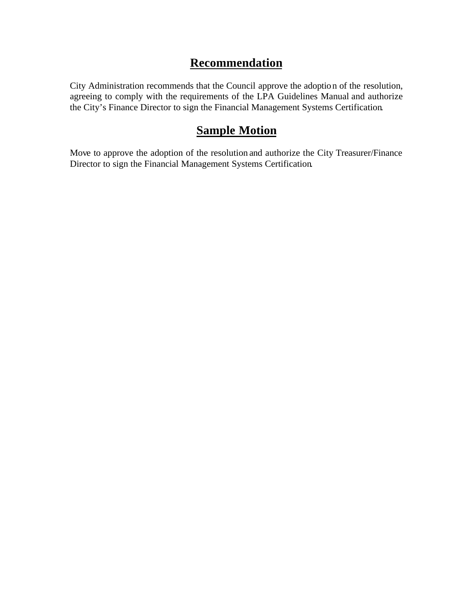## **Recommendation**

City Administration recommends that the Council approve the adoption of the resolution, agreeing to comply with the requirements of the LPA Guidelines Manual and authorize the City's Finance Director to sign the Financial Management Systems Certification.

## **Sample Motion**

Move to approve the adoption of the resolution and authorize the City Treasurer/Finance Director to sign the Financial Management Systems Certification.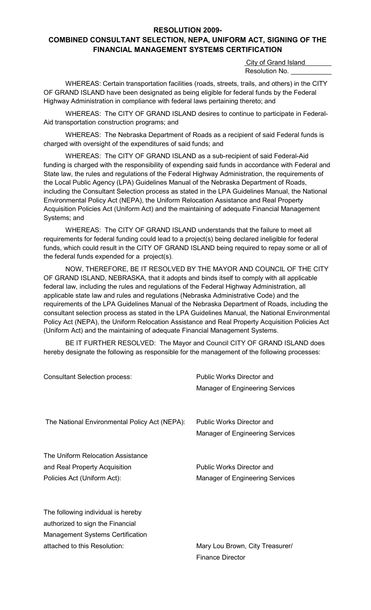#### **RESOLUTION 2009-**

### **COMBINED CONSULTANT SELECTION, NEPA, UNIFORM ACT, SIGNING OF THE FINANCIAL MANAGEMENT SYSTEMS CERTIFICATION**

 City of Grand Island Resolution No.

WHEREAS: Certain transportation facilities (roads, streets, trails, and others) in the CITY OF GRAND ISLAND have been designated as being eligible for federal funds by the Federal Highway Administration in compliance with federal laws pertaining thereto; and

WHEREAS: The CITY OF GRAND ISLAND desires to continue to participate in Federal-Aid transportation construction programs; and

WHEREAS: The Nebraska Department of Roads as a recipient of said Federal funds is charged with oversight of the expenditures of said funds; and

WHEREAS: The CITY OF GRAND ISLAND as a sub-recipient of said Federal-Aid funding is charged with the responsibility of expending said funds in accordance with Federal and State law, the rules and regulations of the Federal Highway Administration, the requirements of the Local Public Agency (LPA) Guidelines Manual of the Nebraska Department of Roads, including the Consultant Selection process as stated in the LPA Guidelines Manual, the National Environmental Policy Act (NEPA), the Uniform Relocation Assistance and Real Property Acquisition Policies Act (Uniform Act) and the maintaining of adequate Financial Management Systems; and

WHEREAS: The CITY OF GRAND ISLAND understands that the failure to meet all requirements for federal funding could lead to a project(s) being declared ineligible for federal funds, which could result in the CITY OF GRAND ISLAND being required to repay some or all of the federal funds expended for a project(s).

NOW, THEREFORE, BE IT RESOLVED BY THE MAYOR AND COUNCIL OF THE CITY OF GRAND ISLAND, NEBRASKA, that it adopts and binds itself to comply with all applicable federal law, including the rules and regulations of the Federal Highway Administration, all applicable state law and rules and regulations (Nebraska Administrative Code) and the requirements of the LPA Guidelines Manual of the Nebraska Department of Roads, including the consultant selection process as stated in the LPA Guidelines Manual, the National Environmental Policy Act (NEPA), the Uniform Relocation Assistance and Real Property Acquisition Policies Act (Uniform Act) and the maintaining of adequate Financial Management Systems.

BE IT FURTHER RESOLVED:The Mayor and Council CITY OF GRAND ISLAND does hereby designate the following as responsible for the management of the following processes:

| <b>Consultant Selection process:</b>                                                                                                              | <b>Public Works Director and</b><br>Manager of Engineering Services        |
|---------------------------------------------------------------------------------------------------------------------------------------------------|----------------------------------------------------------------------------|
| The National Environmental Policy Act (NEPA):                                                                                                     | <b>Public Works Director and</b><br><b>Manager of Engineering Services</b> |
| The Uniform Relocation Assistance<br>and Real Property Acquisition<br>Policies Act (Uniform Act):                                                 | <b>Public Works Director and</b><br>Manager of Engineering Services        |
| The following individual is hereby<br>authorized to sign the Financial<br><b>Management Systems Certification</b><br>attached to this Resolution: | Mary Lou Brown, City Treasurer/<br><b>Finance Director</b>                 |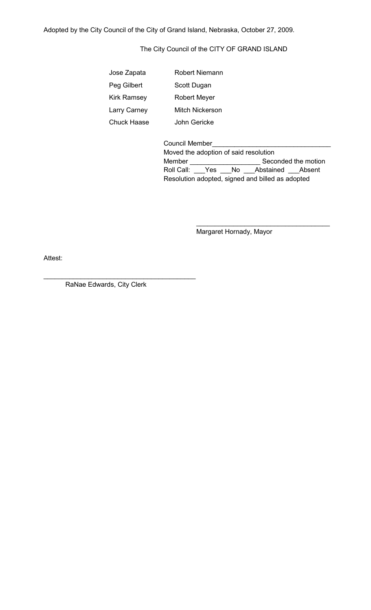Adopted by the City Council of the City of Grand Island, Nebraska, October 27, 2009.

The City Council of the CITY OF GRAND ISLAND

| Jose Zapata        | Robert Niemann      |
|--------------------|---------------------|
| Peg Gilbert        | Scott Dugan         |
| <b>Kirk Ramsey</b> | <b>Robert Meyer</b> |
| Larry Carney       | Mitch Nickerson     |
| <b>Chuck Haase</b> | John Gericke        |

| <b>Council Member</b>                            |  |  |                                    |                     |  |
|--------------------------------------------------|--|--|------------------------------------|---------------------|--|
| Moved the adoption of said resolution            |  |  |                                    |                     |  |
| Member                                           |  |  |                                    | Seconded the motion |  |
|                                                  |  |  | Roll Call: Yes No Abstained Absent |                     |  |
| Resolution adopted, signed and billed as adopted |  |  |                                    |                     |  |

Margaret Hornady, Mayor

\_\_\_\_\_\_\_\_\_\_\_\_\_\_\_\_\_\_\_\_\_\_\_\_\_\_\_\_\_\_\_\_\_\_\_\_

Attest:

RaNae Edwards, City Clerk

\_\_\_\_\_\_\_\_\_\_\_\_\_\_\_\_\_\_\_\_\_\_\_\_\_\_\_\_\_\_\_\_\_\_\_\_\_\_\_\_\_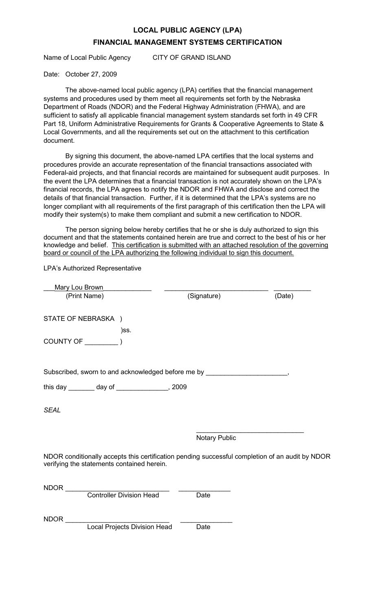## **LOCAL PUBLIC AGENCY (LPA) FINANCIAL MANAGEMENT SYSTEMS CERTIFICATION**

Name of Local Public Agency CITY OF GRAND ISLAND

#### Date: October 27, 2009

The above-named local public agency (LPA) certifies that the financial management systems and procedures used by them meet all requirements set forth by the Nebraska Department of Roads (NDOR) and the Federal Highway Administration (FHWA), and are sufficient to satisfy all applicable financial management system standards set forth in 49 CFR Part 18, Uniform Administrative Requirements for Grants & Cooperative Agreements to State & Local Governments, and all the requirements set out on the attachment to this certification document.

By signing this document, the above-named LPA certifies that the local systems and procedures provide an accurate representation of the financial transactions associated with Federal-aid projects, and that financial records are maintained for subsequent audit purposes. In the event the LPA determines that a financial transaction is not accurately shown on the LPA's financial records, the LPA agrees to notify the NDOR and FHWA and disclose and correct the details of that financial transaction. Further, if it is determined that the LPA's systems are no longer compliant with all requirements of the first paragraph of this certification then the LPA will modify their system(s) to make them compliant and submit a new certification to NDOR.

The person signing below hereby certifies that he or she is duly authorized to sign this document and that the statements contained herein are true and correct to the best of his or her knowledge and belief. This certification is submitted with an attached resolution of the governing board or council of the LPA authorizing the following individual to sign this document.

LPA's Authorized Representative

| <b>Mary Lou Brown</b>                                                                                                                         |                      |        |
|-----------------------------------------------------------------------------------------------------------------------------------------------|----------------------|--------|
| (Print Name)                                                                                                                                  | (Signature)          | (Date) |
| STATE OF NEBRASKA )                                                                                                                           |                      |        |
| )SS.                                                                                                                                          |                      |        |
|                                                                                                                                               |                      |        |
|                                                                                                                                               |                      |        |
| Subscribed, sworn to and acknowledged before me by ____________________________,                                                              |                      |        |
| this day ________ day of ________________, 2009                                                                                               |                      |        |
|                                                                                                                                               |                      |        |
| <b>SEAL</b>                                                                                                                                   |                      |        |
|                                                                                                                                               | <b>Notary Public</b> |        |
| NDOR conditionally accepts this certification pending successful completion of an audit by NDOR<br>verifying the statements contained herein. |                      |        |
| NDOR <b>NDOR</b>                                                                                                                              |                      |        |
| <b>Controller Division Head</b>                                                                                                               | Date                 |        |
| <b>NDOR</b>                                                                                                                                   |                      |        |
| <b>Local Projects Division Head</b>                                                                                                           | Date                 |        |